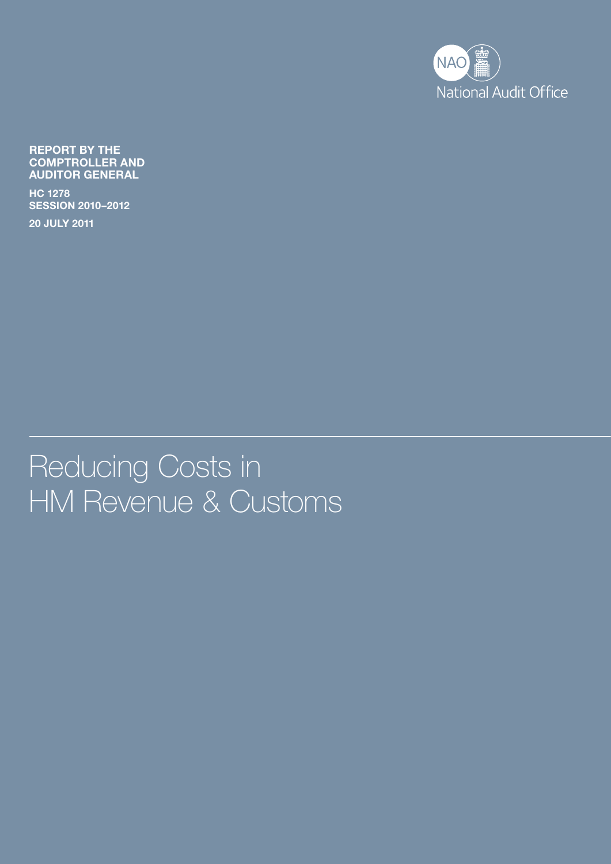

Report by the Comptroller and Auditor General

HC 1278 SesSIon 2010–2012

20 July 2011

Reducing Costs in HM Revenue & Customs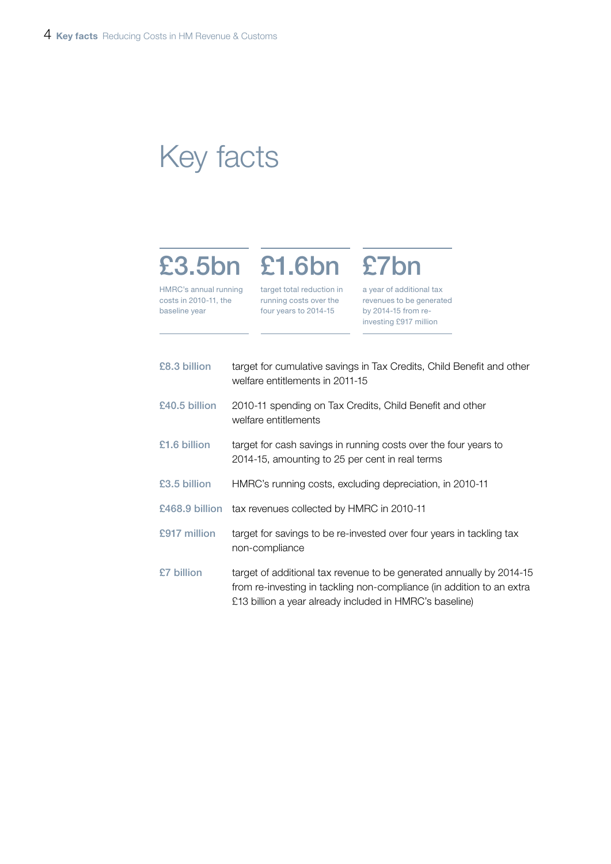## Key facts

# £3.5bn £1.6bn £7bn

HMRC's annual running costs in 2010-11, the baseline year

target total reduction in running costs over the four years to 2014-15

a year of additional tax revenues to be generated by 2014-15 from reinvesting £917 million

| £8.3 billion  | target for cumulative savings in Tax Credits, Child Benefit and other<br>welfare entitlements in 2011-15                                                                                                 |
|---------------|----------------------------------------------------------------------------------------------------------------------------------------------------------------------------------------------------------|
| £40.5 billion | 2010-11 spending on Tax Credits, Child Benefit and other<br>welfare entitlements                                                                                                                         |
| £1.6 billion  | target for cash savings in running costs over the four years to<br>2014-15, amounting to 25 per cent in real terms                                                                                       |
| £3.5 billion  | HMRC's running costs, excluding depreciation, in 2010-11                                                                                                                                                 |
|               | £468.9 billion tax revenues collected by HMRC in 2010-11                                                                                                                                                 |
| £917 million  | target for savings to be re-invested over four years in tackling tax<br>non-compliance                                                                                                                   |
| £7 billion    | target of additional tax revenue to be generated annually by 2014-15<br>from re-investing in tackling non-compliance (in addition to an extra<br>£13 billion a year already included in HMRC's baseline) |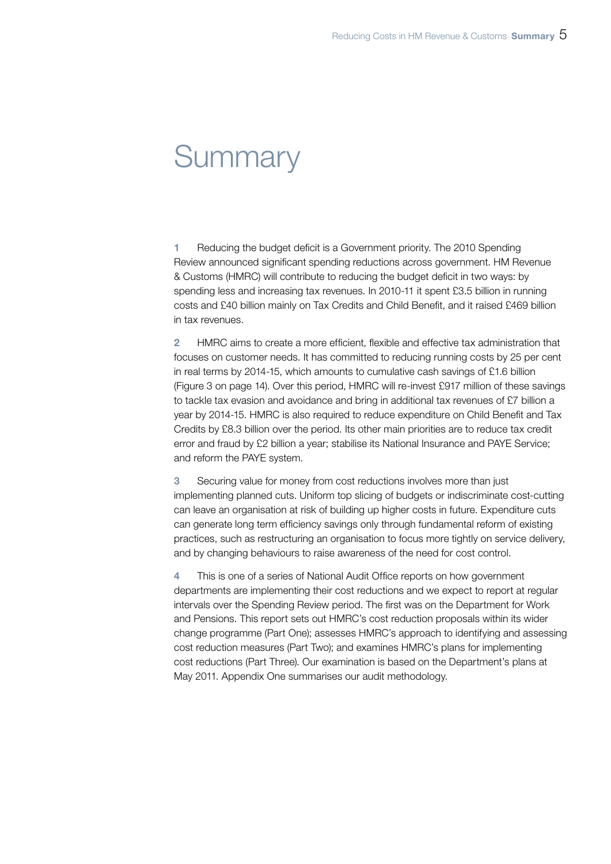## **Summary**

1 Reducing the budget deficit is a Government priority. The 2010 Spending Review announced significant spending reductions across government. HM Revenue & Customs (HMRC) will contribute to reducing the budget deficit in two ways: by spending less and increasing tax revenues. In 2010-11 it spent £3.5 billion in running costs and £40 billion mainly on Tax Credits and Child Benefit, and it raised £469 billion in tax revenues.

2 HMRC aims to create a more efficient, flexible and effective tax administration that focuses on customer needs. It has committed to reducing running costs by 25 per cent in real terms by 2014-15, which amounts to cumulative cash savings of £1.6 billion (Figure 3 on page 14). Over this period, HMRC will re-invest £917 million of these savings to tackle tax evasion and avoidance and bring in additional tax revenues of £7 billion a year by 2014-15. HMRC is also required to reduce expenditure on Child Benefit and Tax Credits by £8.3 billion over the period. Its other main priorities are to reduce tax credit error and fraud by £2 billion a year; stabilise its National Insurance and PAYE Service; and reform the PAYE system.

3 Securing value for money from cost reductions involves more than just implementing planned cuts. Uniform top slicing of budgets or indiscriminate cost-cutting can leave an organisation at risk of building up higher costs in future. Expenditure cuts can generate long term efficiency savings only through fundamental reform of existing practices, such as restructuring an organisation to focus more tightly on service delivery, and by changing behaviours to raise awareness of the need for cost control.

4 This is one of a series of National Audit Office reports on how government departments are implementing their cost reductions and we expect to report at regular intervals over the Spending Review period. The first was on the Department for Work and Pensions. This report sets out HMRC's cost reduction proposals within its wider change programme (Part One); assesses HMRC's approach to identifying and assessing cost reduction measures (Part Two); and examines HMRC's plans for implementing cost reductions (Part Three). Our examination is based on the Department's plans at May 2011. Appendix One summarises our audit methodology.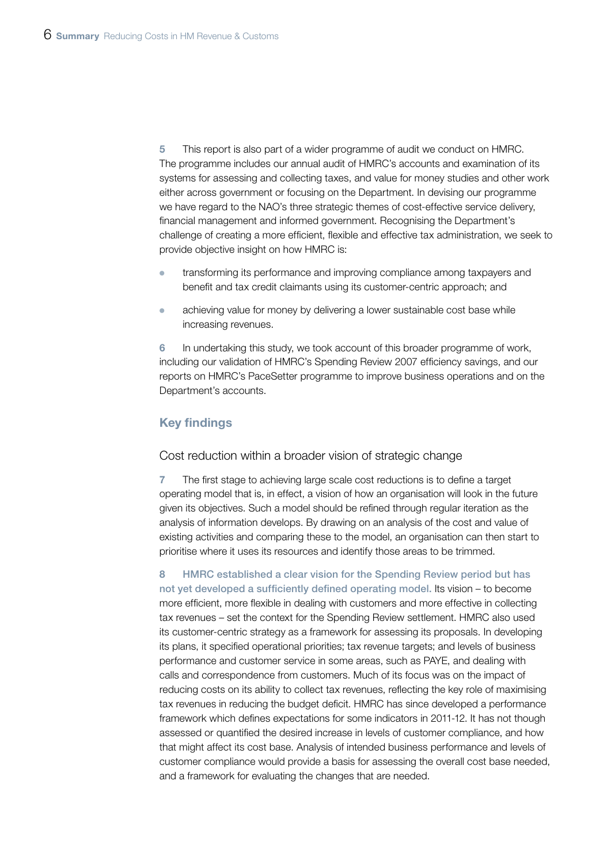5 This report is also part of a wider programme of audit we conduct on HMRC. The programme includes our annual audit of HMRC's accounts and examination of its systems for assessing and collecting taxes, and value for money studies and other work either across government or focusing on the Department. In devising our programme we have regard to the NAO's three strategic themes of cost-effective service delivery, financial management and informed government. Recognising the Department's challenge of creating a more efficient, flexible and effective tax administration, we seek to provide objective insight on how HMRC is:

- transforming its performance and improving compliance among taxpayers and benefit and tax credit claimants using its customer-centric approach; and
- achieving value for money by delivering a lower sustainable cost base while increasing revenues.

6 In undertaking this study, we took account of this broader programme of work, including our validation of HMRC's Spending Review 2007 efficiency savings, and our reports on HMRC's PaceSetter programme to improve business operations and on the Department's accounts.

## Key findings

#### Cost reduction within a broader vision of strategic change

7 The first stage to achieving large scale cost reductions is to define a target operating model that is, in effect, a vision of how an organisation will look in the future given its objectives. Such a model should be refined through regular iteration as the analysis of information develops. By drawing on an analysis of the cost and value of existing activities and comparing these to the model, an organisation can then start to prioritise where it uses its resources and identify those areas to be trimmed.

8 HMRC established a clear vision for the Spending Review period but has not yet developed a sufficiently defined operating model. Its vision – to become more efficient, more flexible in dealing with customers and more effective in collecting tax revenues – set the context for the Spending Review settlement. HMRC also used its customer-centric strategy as a framework for assessing its proposals. In developing its plans, it specified operational priorities; tax revenue targets; and levels of business performance and customer service in some areas, such as PAYE, and dealing with calls and correspondence from customers. Much of its focus was on the impact of reducing costs on its ability to collect tax revenues, reflecting the key role of maximising tax revenues in reducing the budget deficit. HMRC has since developed a performance framework which defines expectations for some indicators in 2011-12. It has not though assessed or quantified the desired increase in levels of customer compliance, and how that might affect its cost base. Analysis of intended business performance and levels of customer compliance would provide a basis for assessing the overall cost base needed, and a framework for evaluating the changes that are needed.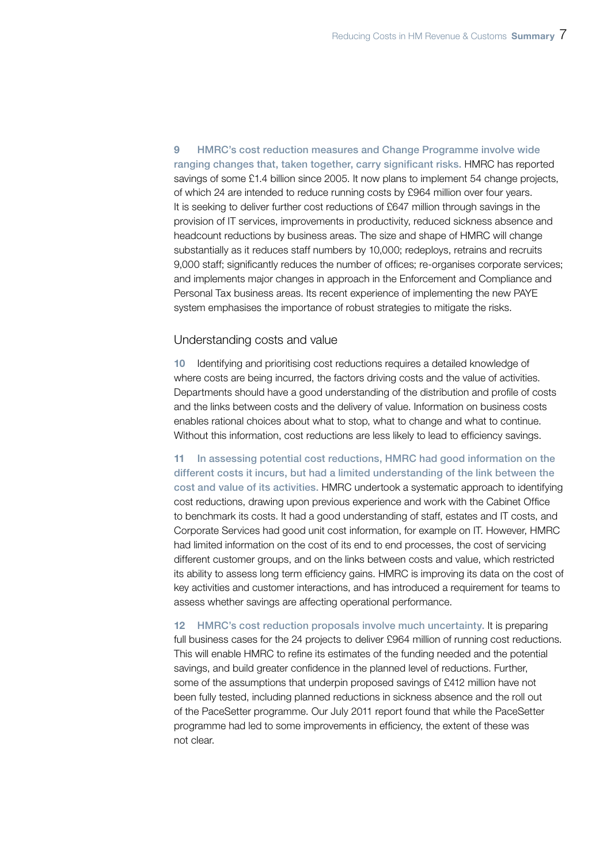9 HMRC's cost reduction measures and Change Programme involve wide ranging changes that, taken together, carry significant risks. HMRC has reported savings of some £1.4 billion since 2005. It now plans to implement 54 change projects, of which 24 are intended to reduce running costs by £964 million over four years. It is seeking to deliver further cost reductions of £647 million through savings in the provision of IT services, improvements in productivity, reduced sickness absence and headcount reductions by business areas. The size and shape of HMRC will change substantially as it reduces staff numbers by 10,000; redeploys, retrains and recruits 9,000 staff; significantly reduces the number of offices; re-organises corporate services; and implements major changes in approach in the Enforcement and Compliance and Personal Tax business areas. Its recent experience of implementing the new PAYE system emphasises the importance of robust strategies to mitigate the risks.

#### Understanding costs and value

10 Identifying and prioritising cost reductions requires a detailed knowledge of where costs are being incurred, the factors driving costs and the value of activities. Departments should have a good understanding of the distribution and profile of costs and the links between costs and the delivery of value. Information on business costs enables rational choices about what to stop, what to change and what to continue. Without this information, cost reductions are less likely to lead to efficiency savings.

11 In assessing potential cost reductions, HMRC had good information on the different costs it incurs, but had a limited understanding of the link between the cost and value of its activities. HMRC undertook a systematic approach to identifying cost reductions, drawing upon previous experience and work with the Cabinet Office to benchmark its costs. It had a good understanding of staff, estates and IT costs, and Corporate Services had good unit cost information, for example on IT. However, HMRC had limited information on the cost of its end to end processes, the cost of servicing different customer groups, and on the links between costs and value, which restricted its ability to assess long term efficiency gains. HMRC is improving its data on the cost of key activities and customer interactions, and has introduced a requirement for teams to assess whether savings are affecting operational performance.

12 HMRC's cost reduction proposals involve much uncertainty. It is preparing full business cases for the 24 projects to deliver £964 million of running cost reductions. This will enable HMRC to refine its estimates of the funding needed and the potential savings, and build greater confidence in the planned level of reductions. Further, some of the assumptions that underpin proposed savings of £412 million have not been fully tested, including planned reductions in sickness absence and the roll out of the PaceSetter programme. Our July 2011 report found that while the PaceSetter programme had led to some improvements in efficiency, the extent of these was not clear.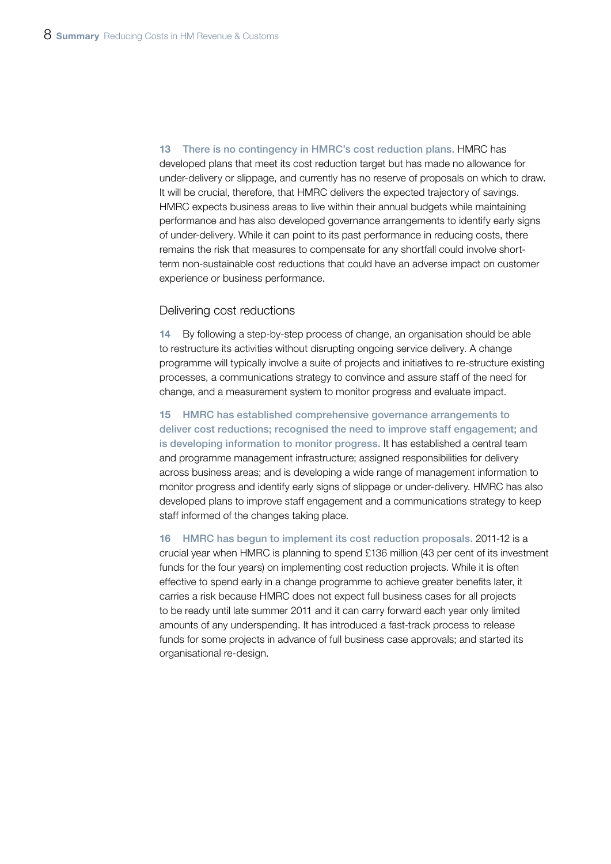13 There is no contingency in HMRC's cost reduction plans. HMRC has developed plans that meet its cost reduction target but has made no allowance for under-delivery or slippage, and currently has no reserve of proposals on which to draw. It will be crucial, therefore, that HMRC delivers the expected trajectory of savings. HMRC expects business areas to live within their annual budgets while maintaining performance and has also developed governance arrangements to identify early signs of under-delivery. While it can point to its past performance in reducing costs, there remains the risk that measures to compensate for any shortfall could involve shortterm non-sustainable cost reductions that could have an adverse impact on customer experience or business performance.

#### Delivering cost reductions

14 By following a step-by-step process of change, an organisation should be able to restructure its activities without disrupting ongoing service delivery. A change programme will typically involve a suite of projects and initiatives to re-structure existing processes, a communications strategy to convince and assure staff of the need for change, and a measurement system to monitor progress and evaluate impact.

15 HMRC has established comprehensive governance arrangements to deliver cost reductions; recognised the need to improve staff engagement; and is developing information to monitor progress. It has established a central team and programme management infrastructure; assigned responsibilities for delivery across business areas; and is developing a wide range of management information to monitor progress and identify early signs of slippage or under-delivery. HMRC has also developed plans to improve staff engagement and a communications strategy to keep staff informed of the changes taking place.

16 HMRC has begun to implement its cost reduction proposals. 2011-12 is a crucial year when HMRC is planning to spend £136 million (43 per cent of its investment funds for the four years) on implementing cost reduction projects. While it is often effective to spend early in a change programme to achieve greater benefits later, it carries a risk because HMRC does not expect full business cases for all projects to be ready until late summer 2011 and it can carry forward each year only limited amounts of any underspending. It has introduced a fast-track process to release funds for some projects in advance of full business case approvals; and started its organisational re-design.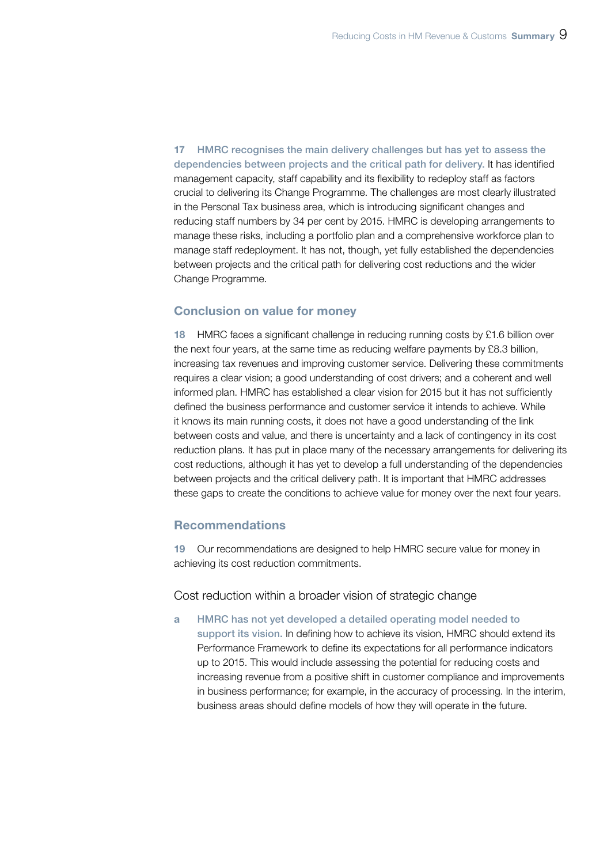17 HMRC recognises the main delivery challenges but has yet to assess the dependencies between projects and the critical path for delivery. It has identified management capacity, staff capability and its flexibility to redeploy staff as factors crucial to delivering its Change Programme. The challenges are most clearly illustrated in the Personal Tax business area, which is introducing significant changes and reducing staff numbers by 34 per cent by 2015. HMRC is developing arrangements to manage these risks, including a portfolio plan and a comprehensive workforce plan to manage staff redeployment. It has not, though, yet fully established the dependencies between projects and the critical path for delivering cost reductions and the wider Change Programme.

### Conclusion on value for money

18 HMRC faces a significant challenge in reducing running costs by £1.6 billion over the next four years, at the same time as reducing welfare payments by £8.3 billion, increasing tax revenues and improving customer service. Delivering these commitments requires a clear vision; a good understanding of cost drivers; and a coherent and well informed plan. HMRC has established a clear vision for 2015 but it has not sufficiently defined the business performance and customer service it intends to achieve. While it knows its main running costs, it does not have a good understanding of the link between costs and value, and there is uncertainty and a lack of contingency in its cost reduction plans. It has put in place many of the necessary arrangements for delivering its cost reductions, although it has yet to develop a full understanding of the dependencies between projects and the critical delivery path. It is important that HMRC addresses these gaps to create the conditions to achieve value for money over the next four years.

## Recommendations

19 Our recommendations are designed to help HMRC secure value for money in achieving its cost reduction commitments.

Cost reduction within a broader vision of strategic change

a HMRC has not yet developed a detailed operating model needed to support its vision. In defining how to achieve its vision, HMRC should extend its Performance Framework to define its expectations for all performance indicators up to 2015. This would include assessing the potential for reducing costs and increasing revenue from a positive shift in customer compliance and improvements in business performance; for example, in the accuracy of processing. In the interim, business areas should define models of how they will operate in the future.